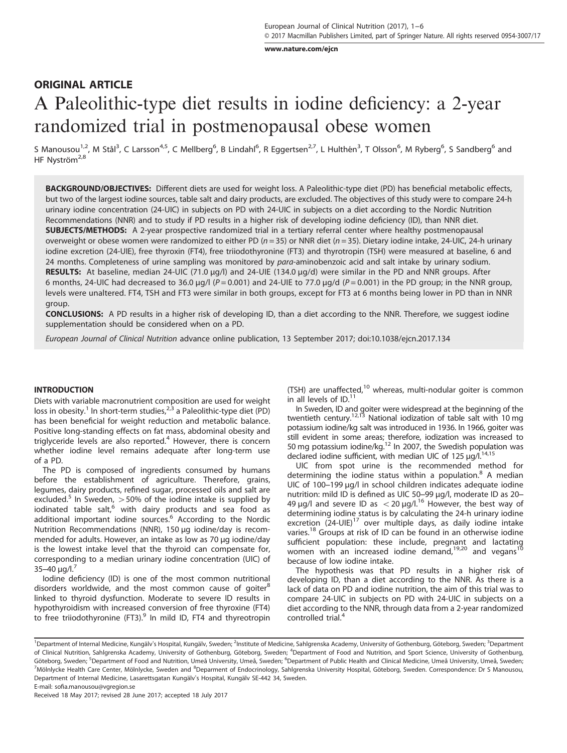[www.nature.com/ejcn](http://www.nature.com/ejcn)

# ORIGINAL ARTICLE A Paleolithic-type diet results in iodine deficiency: a 2-year randomized trial in postmenopausal obese women

S Manousou<sup>1,2</sup>, M Stål<sup>3</sup>, C Larsson<sup>4,5</sup>, C Mellberg<sup>6</sup>, B Lindahl<sup>6</sup>, R Eggertsen<sup>2,7</sup>, L Hulthén<sup>3</sup>, T Olsson<sup>6</sup>, M Ryberg<sup>6</sup>, S Sandberg<sup>6</sup> and HF Nyström<sup>2,8</sup>

BACKGROUND/OBJECTIVES: Different diets are used for weight loss. A Paleolithic-type diet (PD) has beneficial metabolic effects, but two of the largest iodine sources, table salt and dairy products, are excluded. The objectives of this study were to compare 24-h urinary iodine concentration (24-UIC) in subjects on PD with 24-UIC in subjects on a diet according to the Nordic Nutrition Recommendations (NNR) and to study if PD results in a higher risk of developing iodine deficiency (ID), than NNR diet. SUBJECTS/METHODS: A 2-year prospective randomized trial in a tertiary referral center where healthy postmenopausal overweight or obese women were randomized to either PD ( $n = 35$ ) or NNR diet ( $n = 35$ ). Dietary iodine intake, 24-UIC, 24-h urinary iodine excretion (24-UIE), free thyroxin (FT4), free triiodothyronine (FT3) and thyrotropin (TSH) were measured at baseline, 6 and 24 months. Completeness of urine sampling was monitored by para-aminobenzoic acid and salt intake by urinary sodium. RESULTS: At baseline, median 24-UIC (71.0 μg/l) and 24-UIE (134.0 μg/d) were similar in the PD and NNR groups. After 6 months, 24-UIC had decreased to 36.0 μg/l ( $P = 0.001$ ) and 24-UIE to 77.0 μg/d ( $P = 0.001$ ) in the PD group; in the NNR group, levels were unaltered. FT4, TSH and FT3 were similar in both groups, except for FT3 at 6 months being lower in PD than in NNR group.

CONCLUSIONS: A PD results in a higher risk of developing ID, than a diet according to the NNR. Therefore, we suggest iodine supplementation should be considered when on a PD.

European Journal of Clinical Nutrition advance online publication, 13 September 2017; doi:[10.1038/ejcn.2017.134](http://dx.doi.org/10.1038/ejcn.2017.134)

# INTRODUCTION

Diets with variable macronutrient composition are used for weight loss in obesity.<sup>[1](#page-4-0)</sup> In short-term studies,<sup>[2](#page-4-0),[3](#page-4-0)</sup> a Paleolithic-type diet (PD) has been beneficial for weight reduction and metabolic balance. Positive long-standing effects on fat mass, abdominal obesity and triglyceride levels are also reported.<sup>[4](#page-4-0)</sup> However, there is concern whether iodine level remains adequate after long-term use of a PD.

The PD is composed of ingredients consumed by humans before the establishment of agriculture. Therefore, grains, legumes, dairy products, refined sugar, processed oils and salt are excluded.<sup>[5](#page-4-0)</sup> In Sweden,  $>50\%$  of the iodine intake is supplied by iodinated table salt, $^6$  $^6$  with dairy products and sea food as additional important iodine sources.<sup>[6](#page-4-0)</sup> According to the Nordic Nutrition Recommendations (NNR), 150 μg iodine/day is recommended for adults. However, an intake as low as 70 μg iodine/day is the lowest intake level that the thyroid can compensate for, corresponding to a median urinary iodine concentration (UIC) of  $35-40 \mu q/l.<sup>7</sup>$  $35-40 \mu q/l.<sup>7</sup>$  $35-40 \mu q/l.<sup>7</sup>$ 

Iodine deficiency (ID) is one of the most common nutritional disorders worldwide, and the most common cause of goiter $8$ linked to thyroid dysfunction. Moderate to severe ID results in hypothyroidism with increased conversion of free thyroxine (FT4) to free triiodothyronine (FT3).<sup>[9](#page-4-0)</sup> In mild ID, FT4 and thyreotropin (TSH) are unaffected,<sup>[10](#page-4-0)</sup> whereas, multi-nodular goiter is common in all levels of ID.<sup>11</sup>

In Sweden, ID and goiter were widespread at the beginning of the twentieth century.<sup>12,13</sup> National iodization of table salt with 10 mg potassium iodine/kg salt was introduced in 1936. In 1966, goiter was still evident in some areas; therefore, iodization was increased to<br>50 mg potassium iodine/kg.<sup>12</sup> In 2007, the Swedish population was declared iodine sufficient, with median UIC of 125 μg/l.[14](#page-5-0),[15](#page-5-0)

UIC from spot urine is the recommended method for determining the iodine status within a population. $8$  A median UIC of 100–199 μg/l in school children indicates adequate iodine nutrition: mild ID is defined as UIC 50–99 μg/l, moderate ID as 20– 49 μg/l and severe ID as  $<$  20 μg/l.<sup>[16](#page-5-0)</sup> However, the best way of determining iodine status is by calculating the 24-h urinary iodine excretion  $(24$ -UIE)<sup>[17](#page-5-0)</sup> over multiple days, as daily iodine intake varies.<sup>18</sup> Groups at risk of ID can be found in an otherwise iodine sufficient population: these include, pregnant and lactating women with an increased iodine demand,<sup>[19,20](#page-5-0)</sup> and vegans<sup>[10](#page-4-0)</sup> because of low iodine intake.

The hypothesis was that PD results in a higher risk of developing ID, than a diet according to the NNR. As there is a lack of data on PD and iodine nutrition, the aim of this trial was to compare 24-UIC in subjects on PD with 24-UIC in subjects on a diet according to the NNR, through data from a 2-year randomized controlled trial.<sup>[4](#page-4-0)</sup>

<sup>&</sup>lt;sup>1</sup>Department of Internal Medicine, Kungälv's Hospital, Kungälv, Sweden; <sup>2</sup>Institute of Medicine, Sahlgrenska Academy, University of Gothenburg, Göteborg, Sweden; <sup>3</sup>Department of Clinical Nutrition, Sahlgrenska Academy, University of Gothenburg, Göteborg, Sweden; <sup>4</sup>Department of Food and Nutrition, and Sport Science, University of Gothenburg, Göteborg, Sweden; <sup>5</sup>Department of Food and Nutrition, Umeå University, Umeå, Sweden; <sup>6</sup>Department of Public Health and Clinical Medicine, Umeå University, Umeå, Sweden; <sup>7</sup>Mölnlycke Health Care Center, Mölnlycke, Sweden and <sup>8</sup>Deparment of Endocrinology, Sahlgrenska University Hospital, Göteborg, Sweden. Correspondence: Dr S Manousou, Department of Internal Medicine, Lasarettsgatan Kungälv's Hospital, Kungälv SE-442 34, Sweden.

E-mail: sofi[a.manousou@vgregion.se](mailto:sofia.manousou@vgregion.se)

Received 18 May 2017; revised 28 June 2017; accepted 18 July 2017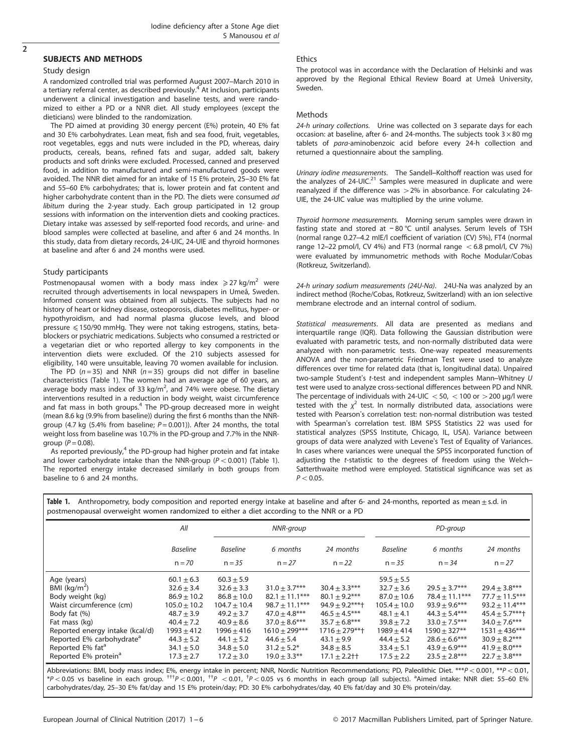#### SUBJECTS AND METHODS

#### Study design

A randomized controlled trial was performed August 2007–March 2010 in a tertiary referral center, as described previously.<sup>[4](#page-4-0)</sup> At inclusion, participants underwent a clinical investigation and baseline tests, and were randomized to either a PD or a NNR diet. All study employees (except the dieticians) were blinded to the randomization.

The PD aimed at providing 30 energy percent (E%) protein, 40 E% fat and 30 E% carbohydrates. Lean meat, fish and sea food, fruit, vegetables, root vegetables, eggs and nuts were included in the PD, whereas, dairy products, cereals, beans, refined fats and sugar, added salt, bakery products and soft drinks were excluded. Processed, canned and preserved food, in addition to manufactured and semi-manufactured goods were avoided. The NNR diet aimed for an intake of 15 E% protein, 25–30 E% fat and 55–60 E% carbohydrates; that is, lower protein and fat content and higher carbohydrate content than in the PD. The diets were consumed ad libitum during the 2-year study. Each group participated in 12 group sessions with information on the intervention diets and cooking practices. Dietary intake was assessed by self-reported food records, and urine- and blood samples were collected at baseline, and after 6 and 24 months. In this study, data from dietary records, 24-UIC, 24-UIE and thyroid hormones at baseline and after 6 and 24 months were used.

#### Study participants

Postmenopausal women with a body mass index  $\geq$  27 kg/m<sup>2</sup> were recruited through advertisements in local newspapers in Umeå, Sweden. Informed consent was obtained from all subjects. The subjects had no history of heart or kidney disease, osteoporosis, diabetes mellitus, hyper- or hypothyroidism, and had normal plasma glucose levels, and blood pressure < 150/90 mmHg. They were not taking estrogens, statins, betablockers or psychiatric medications. Subjects who consumed a restricted or a vegetarian diet or who reported allergy to key components in the intervention diets were excluded. Of the 210 subjects assessed for eligibility, 140 were unsuitable, leaving 70 women available for inclusion.

The PD ( $n = 35$ ) and NNR ( $n = 35$ ) groups did not differ in baseline characteristics (Table 1). The women had an average age of 60 years, an average body mass index of 33 kg/m<sup>2</sup>, and 74% were obese. The dietary interventions resulted in a reduction in body weight, waist circumference and fat mass in both groups.<sup>4</sup> The PD-group decreased more in weight (mean 8.6 kg (9.9% from baseline)) during the first 6 months than the NNRgroup (4.7 kg (5.4% from baseline;  $P = 0.001$ )). After 24 months, the total weight loss from baseline was 10.7% in the PD-group and 7.7% in the NNRgroup ( $P = 0.08$ ).

As reported previously, $4$  the PD-group had higher protein and fat intake and lower carbohydrate intake than the NNR-group ( $P < 0.001$ ) (Table 1). The reported energy intake decreased similarly in both groups from baseline to 6 and 24 months.

#### Ethics

The protocol was in accordance with the Declaration of Helsinki and was approved by the Regional Ethical Review Board at Umeå University, Sweden.

#### Methods

24-h urinary collections. Urine was collected on 3 separate days for each occasion: at baseline, after 6- and 24-months. The subjects took  $3 \times 80$  mg tablets of para-aminobenzoic acid before every 24-h collection and returned a questionnaire about the sampling.

Urinary iodine measurements. The Sandell–Kolthoff reaction was used for the analyzes of  $24$ -UIC.<sup>21</sup> Samples were measured in duplicate and were reanalyzed if the difference was  $>2\%$  in absorbance. For calculating 24-UIE, the 24-UIC value was multiplied by the urine volume.

Thyroid hormone measurements. Morning serum samples were drawn in fasting state and stored at − 80 °C until analyses. Serum levels of TSH (normal range 0.27–4.2 mIE/l coefficient of variation (CV) 5%), FT4 (normal range 12–22 pmol/l, CV 4%) and FT3 (normal range  $<$  6.8 pmol/l, CV 7%) were evaluated by immunometric methods with Roche Modular/Cobas (Rotkreuz, Switzerland).

24-h urinary sodium measurements (24U-Na). 24U-Na was analyzed by an indirect method (Roche/Cobas, Rotkreuz, Switzerland) with an ion selective membrane electrode and an internal control of sodium.

Statistical measurements. All data are presented as medians and interquartile range (IQR). Data following the Gaussian distribution were evaluated with parametric tests, and non-normally distributed data were analyzed with non-parametric tests. One-way repeated measurements ANOVA and the non-parametric Friedman Test were used to analyze differences over time for related data (that is, longitudinal data). Unpaired two-sample Student's t-test and independent samples Mann–Whitney U test were used to analyze cross-sectional differences between PD and NNR. The percentage of individuals with 24-UIC  $<$  50,  $<$  100 or  $>$  200 µg/l were tested with the  $\chi^2$  test. In normally distributed data, associations were tested with Pearson's correlation test: non-normal distribution was tested with Spearman's correlation test. IBM SPSS Statistics 22 was used for statistical analyzes (SPSS Institute, Chicago, IL, USA). Variance between groups of data were analyzed with Levene's Test of Equality of Variances. In cases where variances were unequal the SPSS incorporated function of adjusting the t-statistic to the degrees of freedom using the Welch– Satterthwaite method were employed. Statistical significance was set as  $P < 0.05$ .

|                                       | All              | NNR-group        |                    |                    | PD-group         |                   |                    |
|---------------------------------------|------------------|------------------|--------------------|--------------------|------------------|-------------------|--------------------|
|                                       | <b>Baseline</b>  | <b>Baseline</b>  | 6 months           | 24 months          | <b>Baseline</b>  | 6 months          | 24 months          |
|                                       | $n = 70$         | $n = 35$         | $n = 27$           | $n = 22$           | $n = 35$         | $n = 34$          | $n = 27$           |
| Age (years)                           | $60.1 \pm 6.3$   | $60.3 + 5.9$     |                    |                    | $59.5 \pm 5.5$   |                   |                    |
| BMI $(kq/m2)$                         | $32.6 \pm 3.4$   | $32.6 + 3.3$     | $31.0 + 3.7***$    | $30.4 + 3.3***$    | $32.7 + 3.6$     | $29.5 + 3.7***$   | $29.4 \pm 3.8***$  |
| Body weight (kg)                      | $86.9 \pm 10.2$  | $86.8 \pm 10.0$  | $82.1 \pm 11.1***$ | $80.1 \pm 9.2***$  | $87.0 \pm 10.6$  | $78.4 + 11.1***$  | $77.7 \pm 11.5***$ |
| Waist circumference (cm)              | $105.0 \pm 10.2$ | $104.7 \pm 10.4$ | $98.7 \pm 11.1***$ | $94.9 + 9.2***$    | $105.4 \pm 10.0$ | $93.9 + 9.6***$   | $93.2 \pm 11.4***$ |
| Body fat (%)                          | $48.7 + 3.9$     | $49.2 + 3.7$     | $47.0 + 4.8***$    | $46.5 + 4.5***$    | $48.1 + 4.1$     | $44.3 + 5.4***$   | $45.4 + 5.7***$    |
| Fat mass (kg)                         | $40.4 \pm 7.2$   | $40.9 \pm 8.6$   | $37.0 + 8.6***$    | $35.7 \pm 6.8***$  | $39.8 \pm 7.2$   | $33.0 \pm 7.5***$ | $34.0 \pm 7.6***$  |
| Reported energy intake (kcal/d)       | $1993 \pm 412$   | 1996 + 416       | $1610 \pm 299***$  | $1716 + 279***$    | $1989 + 414$     | $1590 + 327**$    | $1531 \pm 436***$  |
| Reported E% carbohydrate <sup>a</sup> | $44.3 \pm 5.2$   | $44.1 + 5.2$     | $44.6 + 5.4$       | $43.1 + 9.9$       | $44.4 + 5.2$     | $28.6 + 6.6***$   | $30.9 \pm 8.2***$  |
| Reported E% fat <sup>a</sup>          | $34.1 \pm 5.0$   | $34.8 \pm 5.0$   | $31.2 \pm 5.2^*$   | $34.8 + 8.5$       | $33.4 \pm 5.1$   | $43.9 + 6.9***$   | $41.9 + 8.0***$    |
| Reported E% protein <sup>a</sup>      | $17.3 \pm 2.7$   | $17.2 \pm 3.0$   | $19.0 \pm 3.3$ **  | $17.1 \pm 2.2$ † † | $17.5 \pm 2.2$   | $23.5 + 2.8***$   | $22.7 \pm 3.8***$  |

Table 1. Anthropometry, body composition and reported energy intake at baseline and after 6- and 24-months, reported as mean $\pm$ s.d. in postmenopausal overweight women randomized to either a diet according to the NNR or a PD

Abbreviations: BMI, body mass index; E%, energy intake in percent; NNR, Nordic Nutrition Recommendations; PD, Paleolithic Diet. \*\*\*P < 0.001, \*\*P < 0.01,  $*P < 0.05$  vs baseline in each group.  ${}^{ttP}$   $P < 0.001$ ,  ${}^{ttP}$   $< 0.01$ ,  ${}^{tP}$   $< 0.05$  vs 6 months in each group (all subjects). <sup>a</sup>Aimed intake: NNR diet: 55–60 E% carbohydrates/day, 25–30 E% fat/day and 15 E% protein/day; PD: 30 E% carbohydrates/day, 40 E% fat/day and 30 E% protein/day.

# $\overline{2}$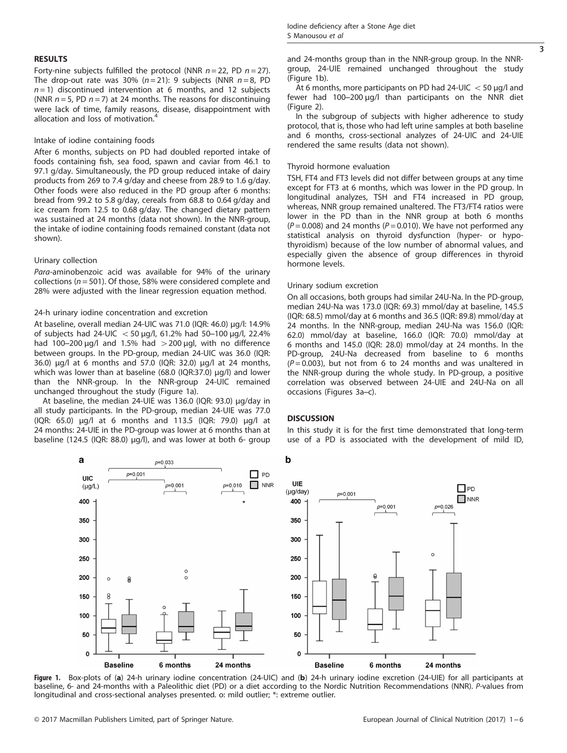Forty-nine subjects fulfilled the protocol (NNR  $n = 22$ , PD  $n = 27$ ). The drop-out rate was 30% ( $n = 21$ ): 9 subjects (NNR  $n = 8$ , PD  $n=1$ ) discontinued intervention at 6 months, and 12 subjects (NNR  $n = 5$ , PD  $n = 7$ ) at 24 months. The reasons for discontinuing were lack of time, family reasons, disease, disappointment with allocation and loss of motivation.<sup>[4](#page-4-0)</sup>

#### Intake of iodine containing foods

After 6 months, subjects on PD had doubled reported intake of foods containing fish, sea food, spawn and caviar from 46.1 to 97.1 g/day. Simultaneously, the PD group reduced intake of dairy products from 269 to 7.4 g/day and cheese from 28.9 to 1.6 g/day. Other foods were also reduced in the PD group after 6 months: bread from 99.2 to 5.8 g/day, cereals from 68.8 to 0.64 g/day and ice cream from 12.5 to 0.68 g/day. The changed dietary pattern was sustained at 24 months (data not shown). In the NNR-group, the intake of iodine containing foods remained constant (data not shown).

#### Urinary collection

Para-aminobenzoic acid was available for 94% of the urinary collections ( $n = 501$ ). Of those, 58% were considered complete and 28% were adjusted with the linear regression equation method.

#### 24-h urinary iodine concentration and excretion

At baseline, overall median 24-UIC was 71.0 (IQR: 46.0) μg/l: 14.9% of subjects had 24-UIC  $<$  50 μg/l, 61.2% had 50–100 μg/l, 22.4% had 100–200  $\mu$ g/l and 1.5% had  $>$ 200  $\mu$ gl, with no difference between groups. In the PD-group, median 24-UIC was 36.0 (IQR: 36.0) μg/l at 6 months and 57.0 (IQR: 32.0) μg/l at 24 months, which was lower than at baseline (68.0 (IQR:37.0) μg/l) and lower than the NNR-group. In the NNR-group 24-UIC remained unchanged throughout the study (Figure 1a).

At baseline, the median 24-UIE was 136.0 (IQR: 93.0) μg/day in all study participants. In the PD-group, median 24-UIE was 77.0 (IQR: 65.0) μg/l at 6 months and 113.5 (IQR: 79.0) μg/l at 24 months: 24-UIE in the PD-group was lower at 6 months than at baseline (124.5 (IQR: 88.0) μg/l), and was lower at both 6- group and 24-months group than in the NNR-group group. In the NNRgroup, 24-UIE remained unchanged throughout the study (Figure 1b).

At 6 months, more participants on PD had 24-UIC  $<$  50 µg/l and fewer had 100–200 μg/l than participants on the NNR diet [\(Figure 2\)](#page-3-0).

In the subgroup of subjects with higher adherence to study protocol, that is, those who had left urine samples at both baseline and 6 months, cross-sectional analyzes of 24-UIC and 24-UIE rendered the same results (data not shown).

#### Thyroid hormone evaluation

TSH, FT4 and FT3 levels did not differ between groups at any time except for FT3 at 6 months, which was lower in the PD group. In longitudinal analyzes, TSH and FT4 increased in PD group, whereas, NNR group remained unaltered. The FT3/FT4 ratios were lower in the PD than in the NNR group at both 6 months  $(P = 0.008)$  and 24 months ( $P = 0.010$ ). We have not performed any statistical analysis on thyroid dysfunction (hyper- or hypothyroidism) because of the low number of abnormal values, and especially given the absence of group differences in thyroid hormone levels.

#### Urinary sodium excretion

On all occasions, both groups had similar 24U-Na. In the PD-group, median 24U-Na was 173.0 (IQR: 69.3) mmol/day at baseline, 145.5 (IQR: 68.5) mmol/day at 6 months and 36.5 (IQR: 89.8) mmol/day at 24 months. In the NNR-group, median 24U-Na was 156.0 (IQR: 62.0) mmol/day at baseline, 166.0 (IQR: 70.0) mmol/day at 6 months and 145.0 (IQR: 28.0) mmol/day at 24 months. In the PD-group, 24U-Na decreased from baseline to 6 months  $(P=0.003)$ , but not from 6 to 24 months and was unaltered in the NNR-group during the whole study. In PD-group, a positive correlation was observed between 24-UIE and 24U-Na on all occasions ([Figures 3a](#page-3-0)–c).

#### **DISCUSSION**

In this study it is for the first time demonstrated that long-term use of a PD is associated with the development of mild ID,



Figure 1. Box-plots of (a) 24-h urinary iodine concentration (24-UIC) and (b) 24-h urinary iodine excretion (24-UIE) for all participants at baseline, 6- and 24-months with a Paleolithic diet (PD) or a diet according to the Nordic Nutrition Recommendations (NNR). P-values from longitudinal and cross-sectional analyses presented. o: mild outlier; \*: extreme outlier.

3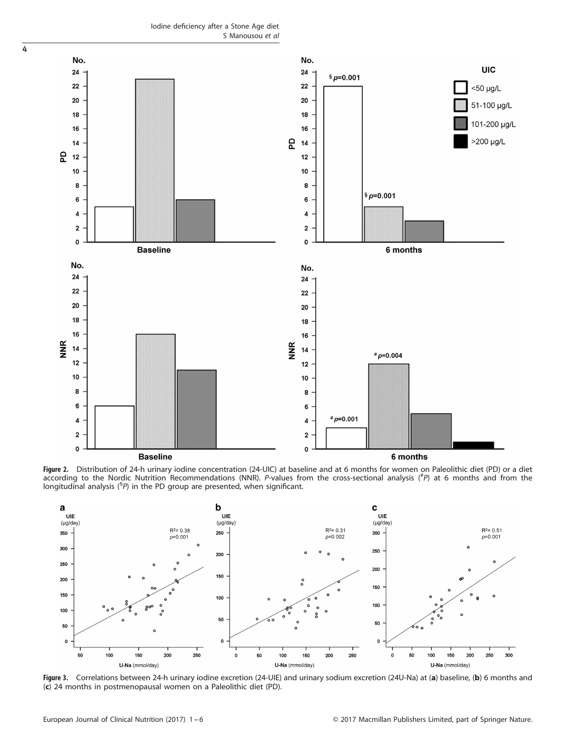Iodine deficiency after a Stone Age diet S Manousou et al

<span id="page-3-0"></span>

Figure 2. Distribution of 24-h urinary iodine concentration (24-UIC) at baseline and at 6 months for women on Paleolithic diet (PD) or a diet according to the Nordic Nutrition Recommendations (NNR). P-values from the cross-sectional analysis (#P) at 6 months and from the longitudinal analysis (§P) in the PD group are presented, when significant.



Figure 3. Correlations between 24-h urinary iodine excretion (24-UIE) and urinary sodium excretion (24U-Na) at (a) baseline, (b) 6 months and (c) 24 months in postmenopausal women on a Paleolithic diet (PD).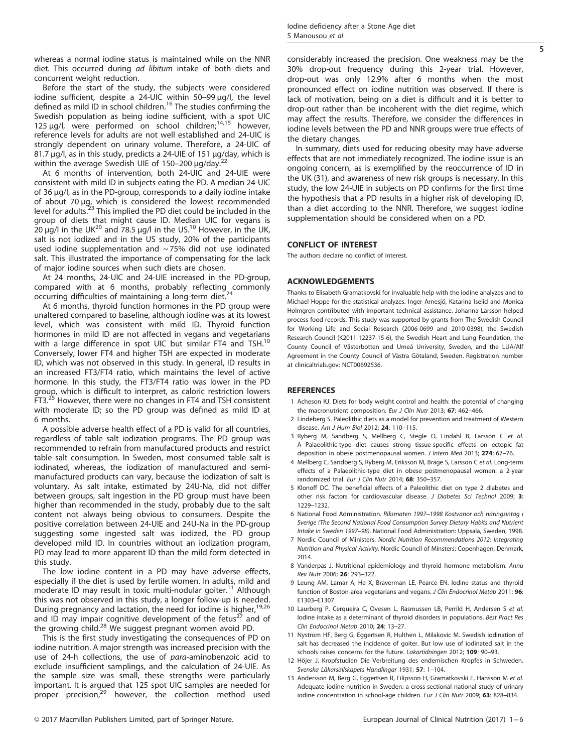<span id="page-4-0"></span>whereas a normal iodine status is maintained while on the NNR diet. This occurred during ad libitum intake of both diets and concurrent weight reduction.

Before the start of the study, the subjects were considered iodine sufficient, despite a 24-UIC within 50–99 μg/l, the level defined as mild ID in school children.<sup>[16](#page-5-0)</sup> The studies confirming the Swedish population as being iodine sufficient, with a spot UIC 125  $\mu$ g/l, were performed on school children;<sup>[14](#page-5-0),[15](#page-5-0)</sup> however, reference levels for adults are not well established and 24-UIC is strongly dependent on urinary volume. Therefore, a 24-UIC of 81.7 μg/l, as in this study, predicts a 24-UIE of 151 μg/day, which is within the average Swedish UIE of 150–200  $\mu$ g/day.<sup>[22](#page-5-0)</sup>

At 6 months of intervention, both 24-UIC and 24-UIE were consistent with mild ID in subjects eating the PD. A median 24-UIC of 36 μg/l, as in the PD-group, corresponds to a daily iodine intake of about 70 μg, which is considered the lowest recommended<br>level for adults.<sup>[23](#page-5-0)</sup> This implied the PD diet could be included in the group of diets that might cause ID. Median UIC for vegans is  $20 \mu g/l$  $20 \mu g/l$  in the UK<sup>20</sup> and 78.5  $\mu g/l$  in the US.<sup>10</sup> However, in the UK, salt is not iodized and in the US study, 20% of the participants used iodine supplementation and ~ 75% did not use iodinated salt. This illustrated the importance of compensating for the lack of major iodine sources when such diets are chosen.

At 24 months, 24-UIC and 24-UIE increased in the PD-group, compared with at 6 months, probably reflecting commonly occurring difficulties of maintaining a long-term diet.

At 6 months, thyroid function hormones in the PD group were unaltered compared to baseline, although iodine was at its lowest level, which was consistent with mild ID. Thyroid function hormones in mild ID are not affected in vegans and vegetarians with a large difference in spot UIC but similar FT4 and TSH.<sup>10</sup> Conversely, lower FT4 and higher TSH are expected in moderate ID, which was not observed in this study. In general, ID results in an increased FT3/FT4 ratio, which maintains the level of active hormone. In this study, the FT3/FT4 ratio was lower in the PD group, which is difficult to interpret, as caloric restriction lowers FT3.<sup>[25](#page-5-0)</sup> However, there were no changes in FT4 and TSH consistent with moderate ID; so the PD group was defined as mild ID at 6 months.

A possible adverse health effect of a PD is valid for all countries, regardless of table salt iodization programs. The PD group was recommended to refrain from manufactured products and restrict table salt consumption. In Sweden, most consumed table salt is iodinated, whereas, the iodization of manufactured and semimanufactured products can vary, because the iodization of salt is voluntary. As salt intake, estimated by 24U-Na, did not differ between groups, salt ingestion in the PD group must have been higher than recommended in the study, probably due to the salt content not always being obvious to consumers. Despite the positive correlation between 24-UIE and 24U-Na in the PD-group suggesting some ingested salt was iodized, the PD group developed mild ID. In countries without an iodization program, PD may lead to more apparent ID than the mild form detected in this study.

The low iodine content in a PD may have adverse effects, especially if the diet is used by fertile women. In adults, mild and moderate ID may result in toxic multi-nodular goiter.<sup>11</sup> Although this was not observed in this study, a longer follow-up is needed. During pregnancy and lactation, the need for iodine is higher, [19,26](#page-5-0) and ID may impair cognitive development of the fetus<sup>[27](#page-5-0)</sup> and of the growing child.<sup>28</sup> We suggest pregnant women avoid PD.

This is the first study investigating the consequences of PD on iodine nutrition. A major strength was increased precision with the use of 24-h collections, the use of para-aminobenzoic acid to exclude insufficient samplings, and the calculation of 24-UIE. As the sample size was small, these strengths were particularly important. It is argued that 125 spot UIC samples are needed for proper precision, $29$  however, the collection method used considerably increased the precision. One weakness may be the

5

30% drop-out frequency during this 2-year trial. However, drop-out was only 12.9% after 6 months when the most pronounced effect on iodine nutrition was observed. If there is lack of motivation, being on a diet is difficult and it is better to drop-out rather than be incoherent with the diet regime, which may affect the results. Therefore, we consider the differences in iodine levels between the PD and NNR groups were true effects of the dietary changes.

In summary, diets used for reducing obesity may have adverse effects that are not immediately recognized. The iodine issue is an ongoing concern, as is exemplified by the reoccurrence of ID in the UK (31), and awareness of new risk groups is necessary. In this study, the low 24-UIE in subjects on PD confirms for the first time the hypothesis that a PD results in a higher risk of developing ID, than a diet according to the NNR. Therefore, we suggest iodine supplementation should be considered when on a PD.

## CONFLICT OF INTEREST

The authors declare no conflict of interest.

## ACKNOWLEDGEMENTS

Thanks to Elisabeth Gramatkovski for invaluable help with the iodine analyzes and to Michael Hoppe for the statistical analyzes. Inger Arnesjö, Katarina Iselid and Monica Holmgren contributed with important technical assistance. Johanna Larsson helped process food records. This study was supported by grants from The Swedish Council for Working Life and Social Research (2006-0699 and 2010-0398), the Swedish Research Council (K2011-12237-15-6), the Swedish Heart and Lung Foundation, the County Council of Västerbotten and Umeå University, Sweden, and the LUA/Alf Agreement in the County Council of Västra Götaland, Sweden. Registration number at clinicaltrials.gov: NCT00692536.

#### **REFERENCES**

- 1 Acheson KJ. Diets for body weight control and health: the potential of changing the macronutrient composition. Eur J Clin Nutr 2013; 67: 462-466.
- 2 Lindeberg S. Paleolithic diets as a model for prevention and treatment of Western disease. Am J Hum Biol 2012; 24: 110–115.
- 3 Ryberg M, Sandberg S, Mellberg C, Stegle O, Lindahl B, Larsson C et al. A Palaeolithic-type diet causes strong tissue-specific effects on ectopic fat deposition in obese postmenopausal women. J Intern Med 2013; 274: 67–76.
- 4 Mellberg C, Sandberg S, Ryberg M, Eriksson M, Brage S, Larsson C et al. Long-term effects of a Palaeolithic-type diet in obese postmenopausal women: a 2-year randomized trial. Eur J Clin Nutr 2014; 68: 350-357.
- 5 Klonoff DC. The beneficial effects of a Paleolithic diet on type 2 diabetes and other risk factors for cardiovascular disease. J Diabetes Sci Technol 2009; 3: 1229–1232.
- 6 National Food Administration. Riksmaten 1997–1998 Kostvanor och näringsintag i Sverige (The Second National Food Consumption Survey Dietary Habits and Nutrient Intake in Sweden 1997–98). National Food Administration: Uppsala, Sweden, 1998.
- 7 Nordic Council of Ministers. Nordic Nutrition Recommendations 2012: Integrating Nutrition and Physical Activity. Nordic Council of Minsters: Copenhagen, Denmark, 2014.
- 8 Vanderpas J. Nutritional epidemiology and thyroid hormone metabolism. Annu Rev Nutr 2006; 26: 293–322.
- 9 Leung AM, Lamar A, He X, Braverman LE, Pearce EN. Iodine status and thyroid function of Boston-area vegetarians and vegans. J Clin Endocrinol Metab 2011; 96: E1303–E1307.
- 10 Laurberg P, Cerqueira C, Ovesen L, Rasmussen LB, Perrild H, Andersen S et al. Iodine intake as a determinant of thyroid disorders in populations. Best Pract Res Clin Endocrinol Metab 2010; 24: 13–27.
- 11 Nystrom HF, Berg G, Eggertsen R, Hulthen L, Milakovic M. Swedish iodination of salt has decreased the incidence of goiter. But low use of iodinated salt in the schools raises concerns for the future. Lakartidningen 2012; 109: 90-93.
- 12 Höjer J. Kropfstudien Die Verbreitung des endemischen Kropfes in Schweden. Svenska Läkarsällskapets Handlingar 1931; 57: 1–104.
- 13 Andersson M, Berg G, Eggertsen R, Filipsson H, Gramatkovski E, Hansson M et al. Adequate iodine nutrition in Sweden: a cross-sectional national study of urinary iodine concentration in school-age children. Eur J Clin Nutr 2009; 63: 828-834.